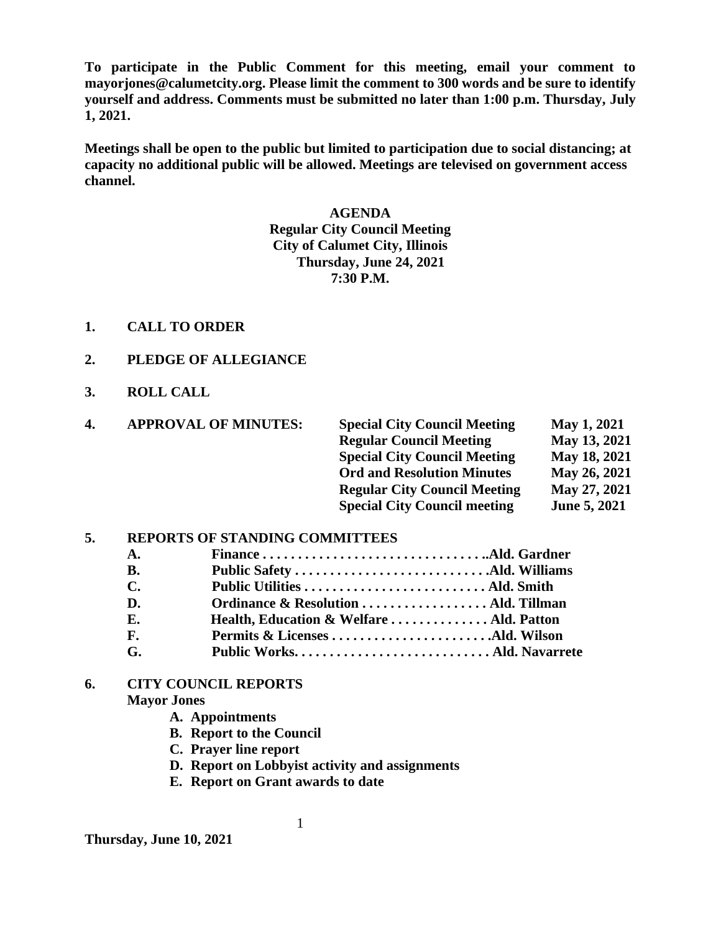**To participate in the Public Comment for this meeting, email your comment to mayorjones@calumetcity.org. Please limit the comment to 300 words and be sure to identify yourself and address. Comments must be submitted no later than 1:00 p.m. Thursday, July 1, 2021.**

**Meetings shall be open to the public but limited to participation due to social distancing; at capacity no additional public will be allowed. Meetings are televised on government access channel.**

# **AGENDA Regular City Council Meeting City of Calumet City, Illinois Thursday, June 24, 2021 7:30 P.M.**

- **1. CALL TO ORDER**
- **2. PLEDGE OF ALLEGIANCE**
- **3. ROLL CALL**

| 4. | <b>APPROVAL OF MINUTES:</b> | <b>Special City Council Meeting</b> | May 1, 2021  |
|----|-----------------------------|-------------------------------------|--------------|
|    |                             | <b>Regular Council Meeting</b>      | May 13, 2021 |
|    |                             | <b>Special City Council Meeting</b> | May 18, 2021 |
|    |                             | <b>Ord and Resolution Minutes</b>   | May 26, 2021 |
|    |                             | <b>Regular City Council Meeting</b> | May 27, 2021 |
|    |                             | <b>Special City Council meeting</b> | June 5, 2021 |

#### **5. REPORTS OF STANDING COMMITTEES**

| A.             |                                         |  |
|----------------|-----------------------------------------|--|
| B.             |                                         |  |
| С.             |                                         |  |
| D.             |                                         |  |
| Е.             | Health, Education & Welfare Ald. Patton |  |
| $\mathbf{F}$ . |                                         |  |
| G.             |                                         |  |
|                |                                         |  |

#### **6. CITY COUNCIL REPORTS Mayor Jones**

**A. Appointments**

- **B. Report to the Council**
- **C. Prayer line report**
- **D. Report on Lobbyist activity and assignments**
- **E. Report on Grant awards to date**

**Thursday, June 10, 2021**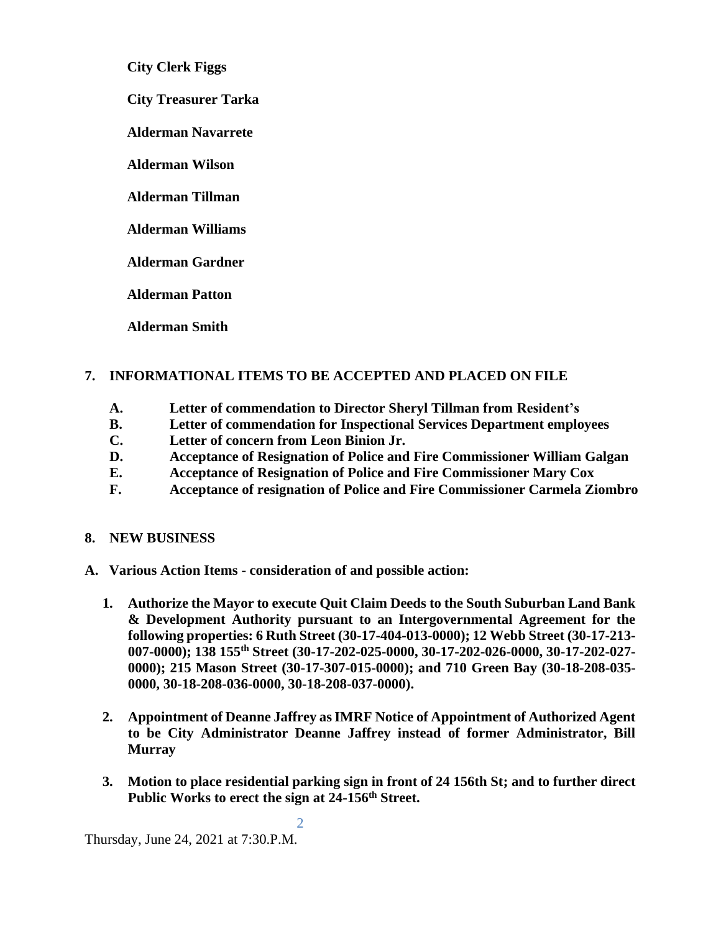**City Clerk Figgs**

 **City Treasurer Tarka**

**Alderman Navarrete**

**Alderman Wilson**

**Alderman Tillman**

**Alderman Williams**

**Alderman Gardner**

**Alderman Patton**

**Alderman Smith**

## **7. INFORMATIONAL ITEMS TO BE ACCEPTED AND PLACED ON FILE**

- **A. Letter of commendation to Director Sheryl Tillman from Resident's**
- **B. Letter of commendation for Inspectional Services Department employees**
- **C. Letter of concern from Leon Binion Jr.**
- **D. Acceptance of Resignation of Police and Fire Commissioner William Galgan**
- **E. Acceptance of Resignation of Police and Fire Commissioner Mary Cox**
- **F. Acceptance of resignation of Police and Fire Commissioner Carmela Ziombro**

#### **8. NEW BUSINESS**

**A. Various Action Items - consideration of and possible action:** 

2

- **1. Authorize the Mayor to execute Quit Claim Deeds to the South Suburban Land Bank & Development Authority pursuant to an Intergovernmental Agreement for the following properties: 6 Ruth Street (30-17-404-013-0000); 12 Webb Street (30-17-213- 007-0000); 138 155th Street (30-17-202-025-0000, 30-17-202-026-0000, 30-17-202-027- 0000); 215 Mason Street (30-17-307-015-0000); and 710 Green Bay (30-18-208-035- 0000, 30-18-208-036-0000, 30-18-208-037-0000).**
- **2. Appointment of Deanne Jaffrey asIMRF Notice of Appointment of Authorized Agent to be City Administrator Deanne Jaffrey instead of former Administrator, Bill Murray**
- **3. Motion to place residential parking sign in front of 24 156th St; and to further direct Public Works to erect the sign at 24-156th Street.**

Thursday, June 24, 2021 at 7:30.P.M.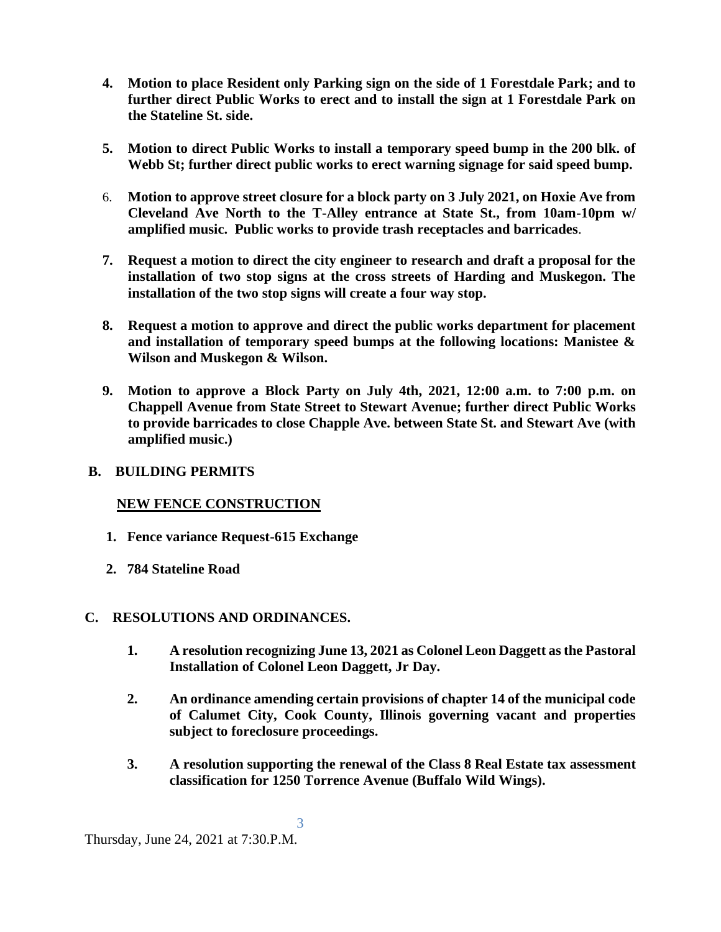- **4. Motion to place Resident only Parking sign on the side of 1 Forestdale Park; and to further direct Public Works to erect and to install the sign at 1 Forestdale Park on the Stateline St. side.**
- **5. Motion to direct Public Works to install a temporary speed bump in the 200 blk. of Webb St; further direct public works to erect warning signage for said speed bump.**
- 6. **Motion to approve street closure for a block party on 3 July 2021, on Hoxie Ave from Cleveland Ave North to the T-Alley entrance at State St., from 10am-10pm w/ amplified music. Public works to provide trash receptacles and barricades**.
- **7. Request a motion to direct the city engineer to research and draft a proposal for the installation of two stop signs at the cross streets of Harding and Muskegon. The installation of the two stop signs will create a four way stop.**
- **8. Request a motion to approve and direct the public works department for placement and installation of temporary speed bumps at the following locations: Manistee & Wilson and Muskegon & Wilson.**
- **9. Motion to approve a Block Party on July 4th, 2021, 12:00 a.m. to 7:00 p.m. on Chappell Avenue from State Street to Stewart Avenue; further direct Public Works to provide barricades to close Chapple Ave. between State St. and Stewart Ave (with amplified music.)**

## **B. BUILDING PERMITS**

## **NEW FENCE CONSTRUCTION**

- **1. Fence variance Request-615 Exchange**
- **2. 784 Stateline Road**

## **C. RESOLUTIONS AND ORDINANCES.**

- **1. A resolution recognizing June 13, 2021 as Colonel Leon Daggett as the Pastoral Installation of Colonel Leon Daggett, Jr Day.**
- **2. An ordinance amending certain provisions of chapter 14 of the municipal code of Calumet City, Cook County, Illinois governing vacant and properties subject to foreclosure proceedings.**
- **3. A resolution supporting the renewal of the Class 8 Real Estate tax assessment classification for 1250 Torrence Avenue (Buffalo Wild Wings).**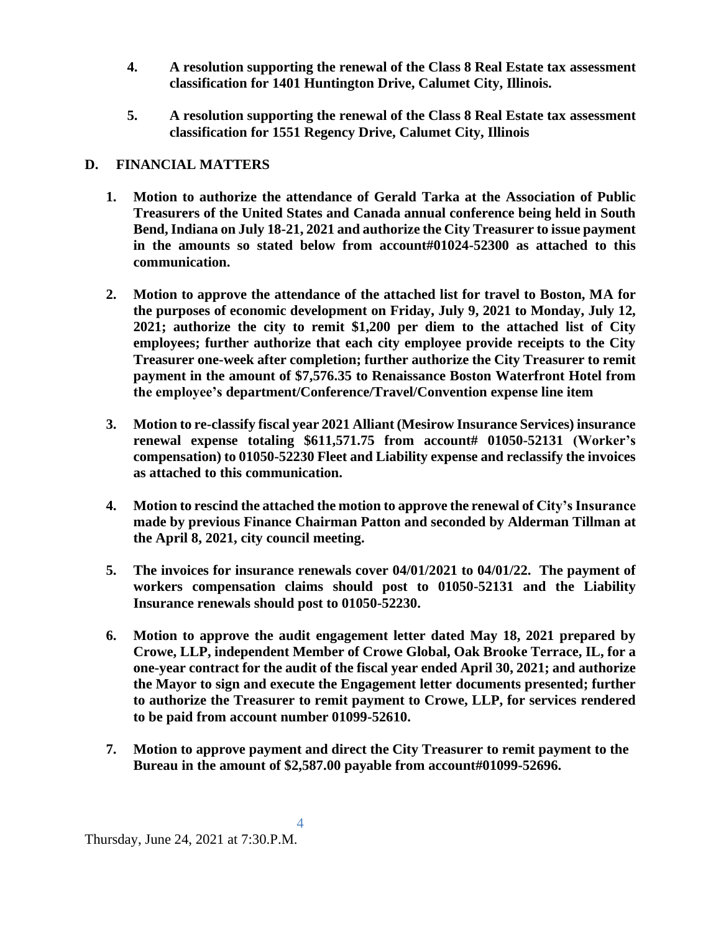- **4. A resolution supporting the renewal of the Class 8 Real Estate tax assessment classification for 1401 Huntington Drive, Calumet City, Illinois.**
- **5. A resolution supporting the renewal of the Class 8 Real Estate tax assessment classification for 1551 Regency Drive, Calumet City, Illinois**

## **D. FINANCIAL MATTERS**

- **1. Motion to authorize the attendance of Gerald Tarka at the Association of Public Treasurers of the United States and Canada annual conference being held in South Bend, Indiana on July 18-21, 2021 and authorize the City Treasurer to issue payment in the amounts so stated below from account#01024-52300 as attached to this communication.**
- **2. Motion to approve the attendance of the attached list for travel to Boston, MA for the purposes of economic development on Friday, July 9, 2021 to Monday, July 12, 2021; authorize the city to remit \$1,200 per diem to the attached list of City employees; further authorize that each city employee provide receipts to the City Treasurer one-week after completion; further authorize the City Treasurer to remit payment in the amount of \$7,576.35 to Renaissance Boston Waterfront Hotel from the employee's department/Conference/Travel/Convention expense line item**
- **3. Motion to re-classify fiscal year 2021 Alliant (Mesirow Insurance Services) insurance renewal expense totaling \$611,571.75 from account# 01050-52131 (Worker's compensation) to 01050-52230 Fleet and Liability expense and reclassify the invoices as attached to this communication.**
- **4. Motion to rescind the attached the motion to approve the renewal of City's Insurance made by previous Finance Chairman Patton and seconded by Alderman Tillman at the April 8, 2021, city council meeting.**
- **5. The invoices for insurance renewals cover 04/01/2021 to 04/01/22. The payment of workers compensation claims should post to 01050-52131 and the Liability Insurance renewals should post to 01050-52230.**
- **6. Motion to approve the audit engagement letter dated May 18, 2021 prepared by Crowe, LLP, independent Member of Crowe Global, Oak Brooke Terrace, IL, for a one-year contract for the audit of the fiscal year ended April 30, 2021; and authorize the Mayor to sign and execute the Engagement letter documents presented; further to authorize the Treasurer to remit payment to Crowe, LLP, for services rendered to be paid from account number 01099-52610.**
- **7. Motion to approve payment and direct the City Treasurer to remit payment to the Bureau in the amount of \$2,587.00 payable from account#01099-52696.**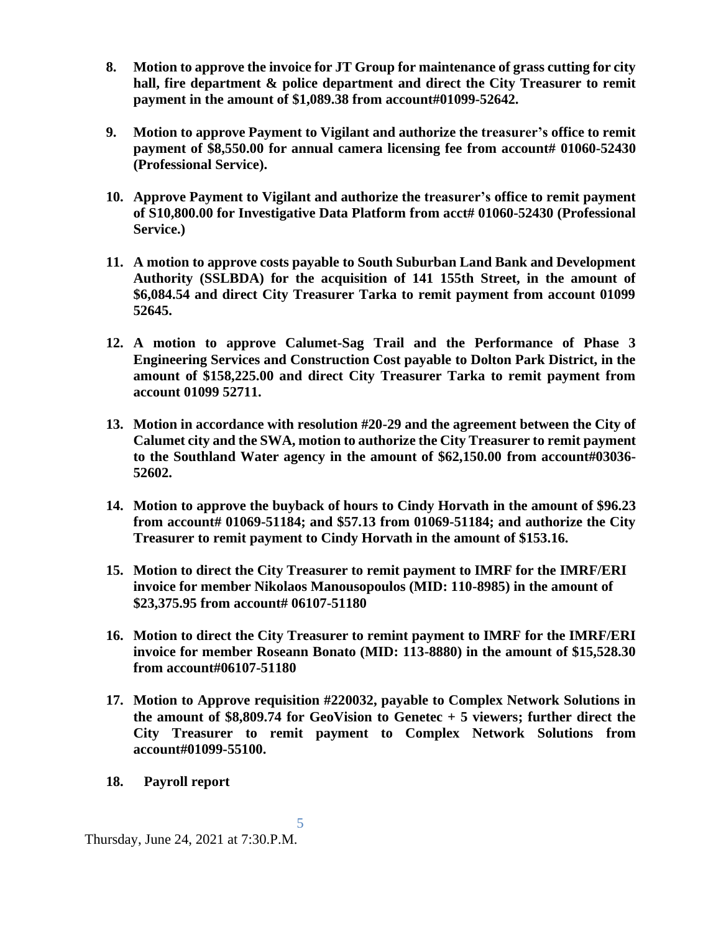- **8. Motion to approve the invoice for JT Group for maintenance of grass cutting for city hall, fire department & police department and direct the City Treasurer to remit payment in the amount of \$1,089.38 from account#01099-52642.**
- **9. Motion to approve Payment to Vigilant and authorize the treasurer's office to remit payment of \$8,550.00 for annual camera licensing fee from account# 01060-52430 (Professional Service).**
- **10. Approve Payment to Vigilant and authorize the treasurer's office to remit payment of S10,800.00 for Investigative Data Platform from acct# 01060-52430 (Professional Service.)**
- **11. A motion to approve costs payable to South Suburban Land Bank and Development Authority (SSLBDA) for the acquisition of 141 155th Street, in the amount of \$6,084.54 and direct City Treasurer Tarka to remit payment from account 01099 52645.**
- **12. A motion to approve Calumet-Sag Trail and the Performance of Phase 3 Engineering Services and Construction Cost payable to Dolton Park District, in the amount of \$158,225.00 and direct City Treasurer Tarka to remit payment from account 01099 52711.**
- **13. Motion in accordance with resolution #20-29 and the agreement between the City of Calumet city and the SWA, motion to authorize the City Treasurer to remit payment to the Southland Water agency in the amount of \$62,150.00 from account#03036- 52602.**
- **14. Motion to approve the buyback of hours to Cindy Horvath in the amount of \$96.23 from account# 01069-51184; and \$57.13 from 01069-51184; and authorize the City Treasurer to remit payment to Cindy Horvath in the amount of \$153.16.**
- **15. Motion to direct the City Treasurer to remit payment to IMRF for the IMRF/ERI invoice for member Nikolaos Manousopoulos (MID: 110-8985) in the amount of \$23,375.95 from account# 06107-51180**
- **16. Motion to direct the City Treasurer to remint payment to IMRF for the IMRF/ERI invoice for member Roseann Bonato (MID: 113-8880) in the amount of \$15,528.30 from account#06107-51180**
- **17. Motion to Approve requisition #220032, payable to Complex Network Solutions in the amount of \$8,809.74 for GeoVision to Genetec + 5 viewers; further direct the City Treasurer to remit payment to Complex Network Solutions from account#01099-55100.**

5

**18. Payroll report**

Thursday, June 24, 2021 at 7:30.P.M.